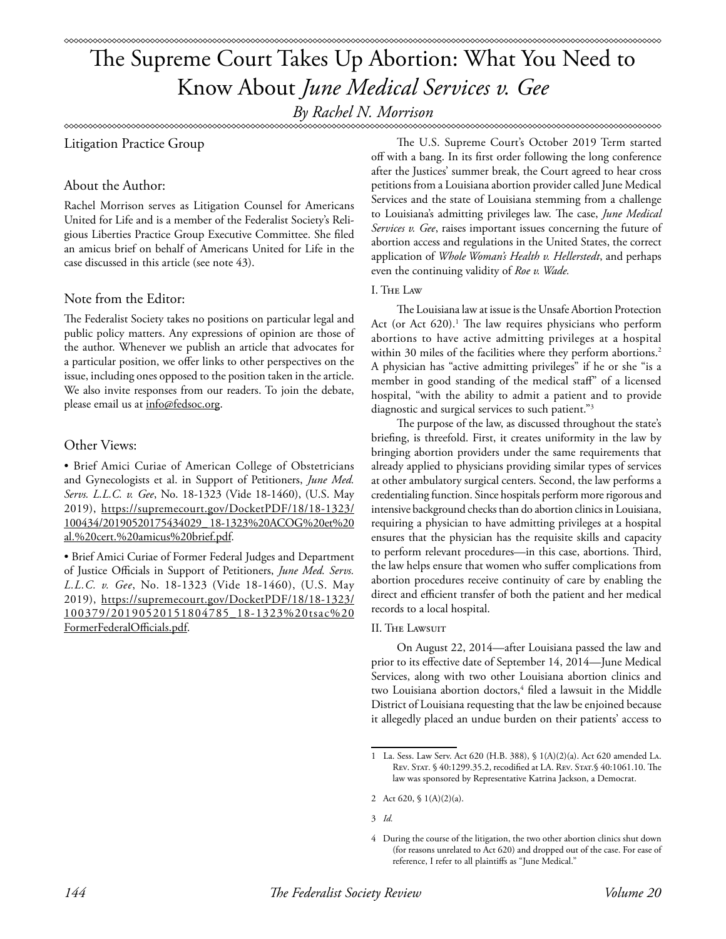*By Rachel N. Morrison*

Litigation Practice Group

# About the Author:

Rachel Morrison serves as Litigation Counsel for Americans United for Life and is a member of the Federalist Society's Religious Liberties Practice Group Executive Committee. She filed an amicus brief on behalf of Americans United for Life in the case discussed in this article (see note 43).

# Note from the Editor:

The Federalist Society takes no positions on particular legal and public policy matters. Any expressions of opinion are those of the author. Whenever we publish an article that advocates for a particular position, we offer links to other perspectives on the issue, including ones opposed to the position taken in the article. We also invite responses from our readers. To join the debate, please email us at info@fedsoc.org.

# Other Views:

• Brief Amici Curiae of American College of Obstetricians and Gynecologists et al. in Support of Petitioners, *June Med. Servs. L.L.C. v. Gee*, No. 18-1323 (Vide 18-1460), (U.S. May 2019), https://supremecourt.gov/DocketPDF/18/18-1323/ 100434/20190520175434029\_ 18-1323%20ACOG%20et%20 al.%20cert.%20amicus%20brief.pdf.

• Brief Amici Curiae of Former Federal Judges and Department of Justice Officials in Support of Petitioners, *June Med. Servs. L.L.C. v. Gee*, No. 18-1323 (Vide 18-1460), (U.S. May 2019), https://supremecourt.gov/DocketPDF/18/18-1323/ 100379/20190520151804785\_18-1323%20tsac%20 FormerFederalOfficials.pdf.

The U.S. Supreme Court's October 2019 Term started off with a bang. In its first order following the long conference after the Justices' summer break, the Court agreed to hear cross petitions from a Louisiana abortion provider called June Medical Services and the state of Louisiana stemming from a challenge to Louisiana's admitting privileges law. The case, *June Medical Services v. Gee*, raises important issues concerning the future of abortion access and regulations in the United States, the correct application of *Whole Woman's Health v. Hellerstedt*, and perhaps even the continuing validity of *Roe v. Wade.*

# I. The Law

The Louisiana law at issue is the Unsafe Abortion Protection Act (or Act 620).<sup>1</sup> The law requires physicians who perform abortions to have active admitting privileges at a hospital within 30 miles of the facilities where they perform abortions.<sup>2</sup> A physician has "active admitting privileges" if he or she "is a member in good standing of the medical staff" of a licensed hospital, "with the ability to admit a patient and to provide diagnostic and surgical services to such patient."3

The purpose of the law, as discussed throughout the state's briefing, is threefold. First, it creates uniformity in the law by bringing abortion providers under the same requirements that already applied to physicians providing similar types of services at other ambulatory surgical centers. Second, the law performs a credentialing function. Since hospitals perform more rigorous and intensive background checks than do abortion clinics in Louisiana, requiring a physician to have admitting privileges at a hospital ensures that the physician has the requisite skills and capacity to perform relevant procedures—in this case, abortions. Third, the law helps ensure that women who suffer complications from abortion procedures receive continuity of care by enabling the direct and efficient transfer of both the patient and her medical records to a local hospital.

## II. The Lawsuit

On August 22, 2014—after Louisiana passed the law and prior to its effective date of September 14, 2014—June Medical Services, along with two other Louisiana abortion clinics and two Louisiana abortion doctors,<sup>4</sup> filed a lawsuit in the Middle District of Louisiana requesting that the law be enjoined because it allegedly placed an undue burden on their patients' access to

<sup>1</sup> La. Sess. Law Serv. Act 620 (H.B. 388), § 1(A)(2)(a). Act 620 amended La. Rev. Stat. § 40:1299.35.2, recodified at LA. Rev. Stat.§ 40:1061.10. The law was sponsored by Representative Katrina Jackson, a Democrat.

<sup>2</sup> Act 620, § 1(A)(2)(a).

<sup>3</sup> *Id.*

<sup>4</sup> During the course of the litigation, the two other abortion clinics shut down (for reasons unrelated to Act 620) and dropped out of the case. For ease of reference, I refer to all plaintiffs as "June Medical."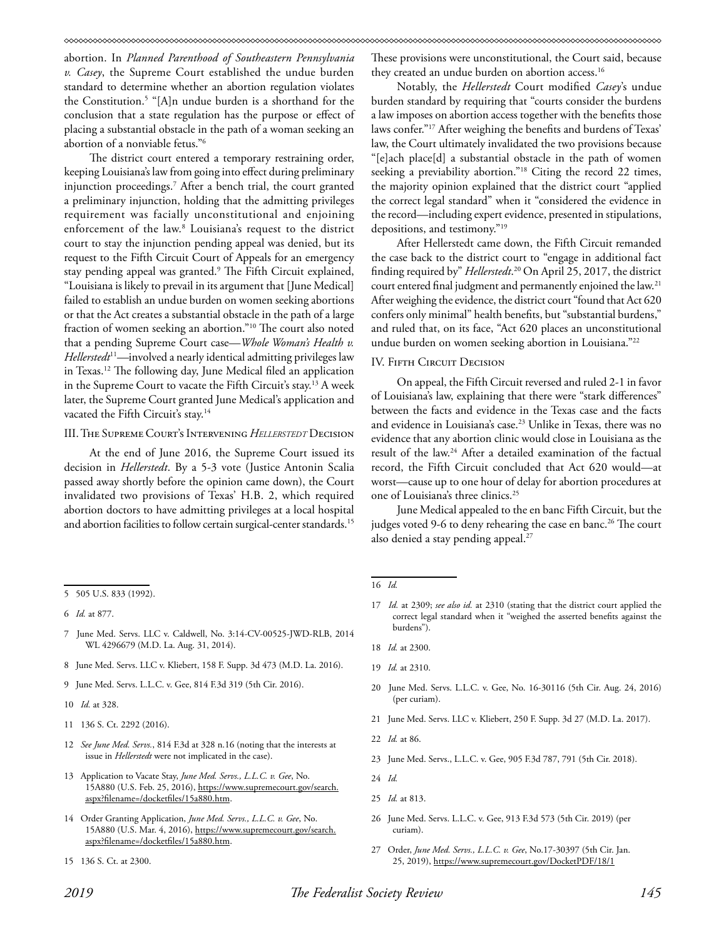abortion. In *Planned Parenthood of Southeastern Pennsylvania v. Casey*, the Supreme Court established the undue burden standard to determine whether an abortion regulation violates the Constitution.5 "[A]n undue burden is a shorthand for the conclusion that a state regulation has the purpose or effect of placing a substantial obstacle in the path of a woman seeking an abortion of a nonviable fetus."6

The district court entered a temporary restraining order, keeping Louisiana's law from going into effect during preliminary injunction proceedings.7 After a bench trial, the court granted a preliminary injunction, holding that the admitting privileges requirement was facially unconstitutional and enjoining enforcement of the law.8 Louisiana's request to the district court to stay the injunction pending appeal was denied, but its request to the Fifth Circuit Court of Appeals for an emergency stay pending appeal was granted.9 The Fifth Circuit explained, "Louisiana is likely to prevail in its argument that [June Medical] failed to establish an undue burden on women seeking abortions or that the Act creates a substantial obstacle in the path of a large fraction of women seeking an abortion."10 The court also noted that a pending Supreme Court case—*Whole Woman's Health v. Hellerstedt*<sup>11</sup>*—*involved a nearly identical admitting privileges law in Texas.12 The following day, June Medical filed an application in the Supreme Court to vacate the Fifth Circuit's stay.<sup>13</sup> A week later, the Supreme Court granted June Medical's application and vacated the Fifth Circuit's stay.<sup>14</sup>

### III. The Supreme Court's Intervening *Hellerstedt* Decision

At the end of June 2016, the Supreme Court issued its decision in *Hellerstedt*. By a 5-3 vote (Justice Antonin Scalia passed away shortly before the opinion came down), the Court invalidated two provisions of Texas' H.B. 2, which required abortion doctors to have admitting privileges at a local hospital and abortion facilities to follow certain surgical-center standards.<sup>15</sup>

- 8 June Med. Servs. LLC v. Kliebert, 158 F. Supp. 3d 473 (M.D. La. 2016).
- 9 June Med. Servs. L.L.C. v. Gee, 814 F.3d 319 (5th Cir. 2016).

10 *Id.* at 328.

- 11 136 S. Ct. 2292 (2016).
- 12 *See June Med. Servs.*, 814 F.3d at 328 n.16 (noting that the interests at issue in *Hellerstedt* were not implicated in the case).
- 13 Application to Vacate Stay, *June Med. Servs., L.L.C. v. Gee*, No. 15A880 (U.S. Feb. 25, 2016), https://www.supremecourt.gov/search. aspx?filename=/docketfiles/15a880.htm.
- 14 Order Granting Application, *June Med. Servs., L.L.C. v. Gee*, No. 15A880 (U.S. Mar. 4, 2016), https://www.supremecourt.gov/search. aspx?filename=/docketfiles/15a880.htm.
- 15 136 S. Ct. at 2300.

These provisions were unconstitutional, the Court said, because they created an undue burden on abortion access.<sup>16</sup>

Notably, the *Hellerstedt* Court modified *Casey*'s undue burden standard by requiring that "courts consider the burdens a law imposes on abortion access together with the benefits those laws confer."17 After weighing the benefits and burdens of Texas' law, the Court ultimately invalidated the two provisions because "[e]ach place[d] a substantial obstacle in the path of women seeking a previability abortion."18 Citing the record 22 times, the majority opinion explained that the district court "applied the correct legal standard" when it "considered the evidence in the record—including expert evidence, presented in stipulations, depositions, and testimony."19

After Hellerstedt came down, the Fifth Circuit remanded the case back to the district court to "engage in additional fact finding required by" *Hellerstedt*. 20 On April 25, 2017, the district court entered final judgment and permanently enjoined the law.21 After weighing the evidence, the district court "found that Act 620 confers only minimal" health benefits, but "substantial burdens," and ruled that, on its face, "Act 620 places an unconstitutional undue burden on women seeking abortion in Louisiana."22

### IV. FIFTH CIRCUIT DECISION

On appeal, the Fifth Circuit reversed and ruled 2-1 in favor of Louisiana's law, explaining that there were "stark differences" between the facts and evidence in the Texas case and the facts and evidence in Louisiana's case.<sup>23</sup> Unlike in Texas, there was no evidence that any abortion clinic would close in Louisiana as the result of the law.24 After a detailed examination of the factual record, the Fifth Circuit concluded that Act 620 would—at worst—cause up to one hour of delay for abortion procedures at one of Louisiana's three clinics.25

June Medical appealed to the en banc Fifth Circuit, but the judges voted 9-6 to deny rehearing the case en banc.<sup>26</sup> The court also denied a stay pending appeal.<sup>27</sup>

- 19 *Id.* at 2310.
- 20 June Med. Servs. L.L.C. v. Gee, No. 16-30116 (5th Cir. Aug. 24, 2016) (per curiam).
- 21 June Med. Servs. LLC v. Kliebert, 250 F. Supp. 3d 27 (M.D. La. 2017).

- 23 June Med. Servs., L.L.C. v. Gee, 905 F.3d 787, 791 (5th Cir. 2018).
- 24 *Id.*
- 25 *Id.* at 813.
- 26 June Med. Servs. L.L.C. v. Gee, 913 F.3d 573 (5th Cir. 2019) (per curiam).
- 27 Order, *June Med. Servs., L.L.C. v. Gee*, No.17-30397 (5th Cir. Jan. 25, 2019), https://www.supremecourt.gov/DocketPDF/18/1

<sup>5 505</sup> U.S. 833 (1992).

<sup>6</sup> *Id.* at 877.

<sup>7</sup> June Med. Servs. LLC v. Caldwell, No. 3:14-CV-00525-JWD-RLB, 2014 WL 4296679 (M.D. La. Aug. 31, 2014).

<sup>16</sup> *Id.*

<sup>17</sup> *Id.* at 2309; *see also id.* at 2310 (stating that the district court applied the correct legal standard when it "weighed the asserted benefits against the burdens").

<sup>18</sup> *Id.* at 2300.

<sup>22</sup> *Id.* at 86.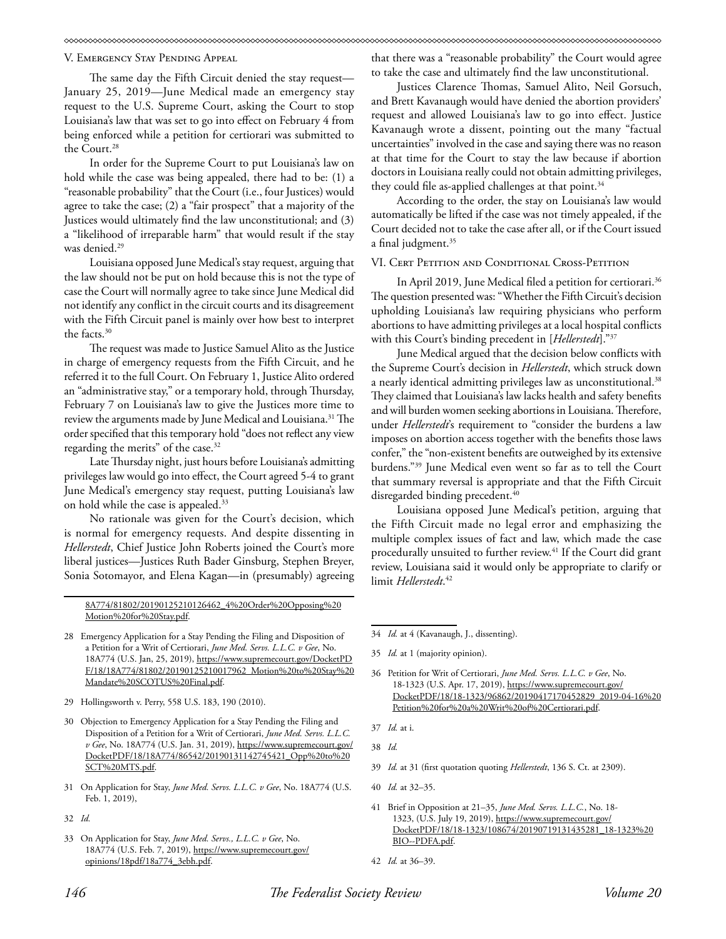V. Emergency Stay Pending Appeal

The same day the Fifth Circuit denied the stay request— January 25, 2019—June Medical made an emergency stay request to the U.S. Supreme Court, asking the Court to stop Louisiana's law that was set to go into effect on February 4 from being enforced while a petition for certiorari was submitted to the Court.28

In order for the Supreme Court to put Louisiana's law on hold while the case was being appealed, there had to be: (1) a "reasonable probability" that the Court (i.e., four Justices) would agree to take the case; (2) a "fair prospect" that a majority of the Justices would ultimately find the law unconstitutional; and (3) a "likelihood of irreparable harm" that would result if the stay was denied.<sup>29</sup>

Louisiana opposed June Medical's stay request, arguing that the law should not be put on hold because this is not the type of case the Court will normally agree to take since June Medical did not identify any conflict in the circuit courts and its disagreement with the Fifth Circuit panel is mainly over how best to interpret the facts.30

The request was made to Justice Samuel Alito as the Justice in charge of emergency requests from the Fifth Circuit, and he referred it to the full Court. On February 1, Justice Alito ordered an "administrative stay," or a temporary hold, through Thursday, February 7 on Louisiana's law to give the Justices more time to review the arguments made by June Medical and Louisiana.<sup>31</sup> The order specified that this temporary hold "does not reflect any view regarding the merits" of the case.<sup>32</sup>

Late Thursday night, just hours before Louisiana's admitting privileges law would go into effect, the Court agreed 5-4 to grant June Medical's emergency stay request, putting Louisiana's law on hold while the case is appealed.<sup>33</sup>

No rationale was given for the Court's decision, which is normal for emergency requests. And despite dissenting in *Hellerstedt*, Chief Justice John Roberts joined the Court's more liberal justices—Justices Ruth Bader Ginsburg, Stephen Breyer, Sonia Sotomayor, and Elena Kagan—in (presumably) agreeing

8A774/81802/20190125210126462\_4%20Order%20Opposing%20 Motion%20for%20Stay.pdf.

- 28 Emergency Application for a Stay Pending the Filing and Disposition of a Petition for a Writ of Certiorari, *June Med. Servs. L.L.C. v Gee*, No. 18A774 (U.S. Jan, 25, 2019), https://www.supremecourt.gov/DocketPD F/18/18A774/81802/20190125210017962\_Motion%20to%20Stay%20 Mandate%20SCOTUS%20Final.pdf.
- 29 Hollingsworth v. Perry, 558 U.S. 183, 190 (2010).
- 30 Objection to Emergency Application for a Stay Pending the Filing and Disposition of a Petition for a Writ of Certiorari, *June Med. Servs. L.L.C. v Gee*, No. 18A774 (U.S. Jan. 31, 2019), https://www.supremecourt.gov/ DocketPDF/18/18A774/86542/20190131142745421\_Opp%20to%20 SCT%20MTS.pdf.
- 31 On Application for Stay, *June Med. Servs. L.L.C. v Gee*, No. 18A774 (U.S. Feb. 1, 2019),
- 32 *Id.*
- 33 On Application for Stay, *June Med. Servs., L.L.C. v Gee*, No. 18A774 (U.S. Feb. 7, 2019), https://www.supremecourt.gov/ opinions/18pdf/18a774\_3ebh.pdf.

that there was a "reasonable probability" the Court would agree to take the case and ultimately find the law unconstitutional.

Justices Clarence Thomas, Samuel Alito, Neil Gorsuch, and Brett Kavanaugh would have denied the abortion providers' request and allowed Louisiana's law to go into effect. Justice Kavanaugh wrote a dissent, pointing out the many "factual uncertainties" involved in the case and saying there was no reason at that time for the Court to stay the law because if abortion doctors in Louisiana really could not obtain admitting privileges, they could file as-applied challenges at that point. $34$ 

According to the order, the stay on Louisiana's law would automatically be lifted if the case was not timely appealed, if the Court decided not to take the case after all, or if the Court issued a final judgment.<sup>35</sup>

### VI. CERT PETITION AND CONDITIONAL CROSS-PETITION

In April 2019, June Medical filed a petition for certiorari.<sup>36</sup> The question presented was: "Whether the Fifth Circuit's decision upholding Louisiana's law requiring physicians who perform abortions to have admitting privileges at a local hospital conflicts with this Court's binding precedent in [*Hellerstedt*]."37

June Medical argued that the decision below conflicts with the Supreme Court's decision in *Hellerstedt*, which struck down a nearly identical admitting privileges law as unconstitutional.<sup>38</sup> They claimed that Louisiana's law lacks health and safety benefits and will burden women seeking abortions in Louisiana. Therefore, under *Hellerstedt*'s requirement to "consider the burdens a law imposes on abortion access together with the benefits those laws confer," the "non-existent benefits are outweighed by its extensive burdens."39 June Medical even went so far as to tell the Court that summary reversal is appropriate and that the Fifth Circuit disregarded binding precedent.<sup>40</sup>

Louisiana opposed June Medical's petition, arguing that the Fifth Circuit made no legal error and emphasizing the multiple complex issues of fact and law, which made the case procedurally unsuited to further review.<sup>41</sup> If the Court did grant review, Louisiana said it would only be appropriate to clarify or limit *Hellerstedt*. 42

- 34 *Id.* at 4 (Kavanaugh, J., dissenting).
- 35 *Id.* at 1 (majority opinion).
- 36 Petition for Writ of Certiorari, *June Med. Servs. L.L.C. v Gee*, No. 18-1323 (U.S. Apr. 17, 2019), https://www.supremecourt.gov/ DocketPDF/18/18-1323/96862/20190417170452829\_2019-04-16%20 Petition%20for%20a%20Writ%20of%20Certiorari.pdf.
- 37 *Id.* at i.
- 38 *Id.*
- 39 *Id.* at 31 (first quotation quoting *Hellerstedt*, 136 S. Ct. at 2309).
- 40 *Id.* at 32–35.
- 41 Brief in Opposition at 21–35, *June Med. Servs. L.L.C.*, No. 18- 1323, (U.S. July 19, 2019), https://www.supremecourt.gov/ DocketPDF/18/18-1323/108674/20190719131435281\_18-1323%20 BIO--PDFA.pdf.
- 42 *Id.* at 36–39.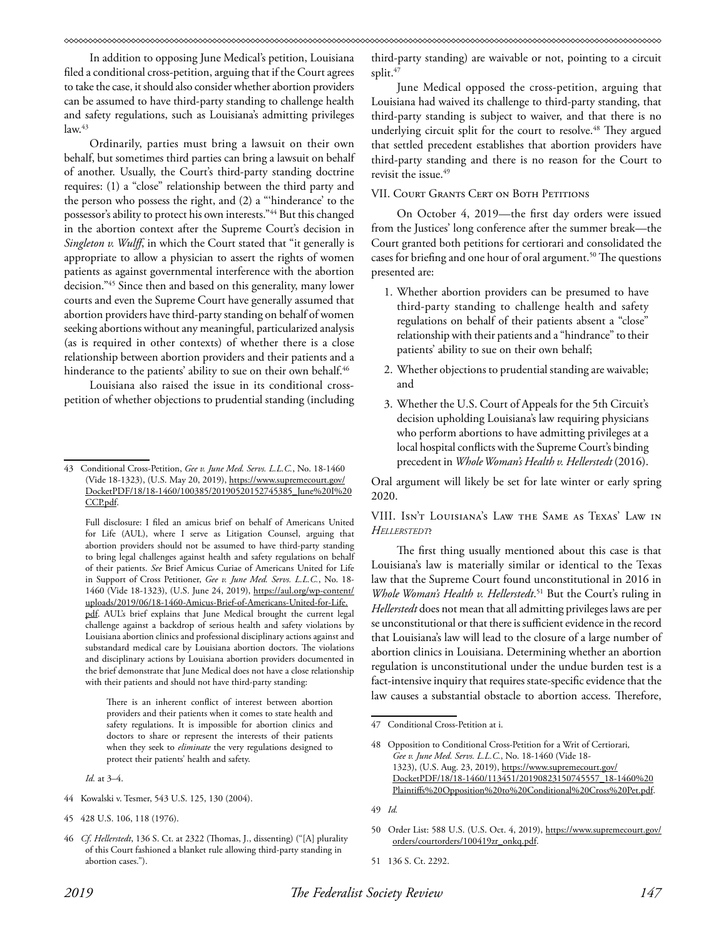In addition to opposing June Medical's petition, Louisiana filed a conditional cross-petition, arguing that if the Court agrees to take the case, it should also consider whether abortion providers can be assumed to have third-party standing to challenge health and safety regulations, such as Louisiana's admitting privileges  $law.<sup>43</sup>$ 

Ordinarily, parties must bring a lawsuit on their own behalf, but sometimes third parties can bring a lawsuit on behalf of another. Usually, the Court's third-party standing doctrine requires: (1) a "close" relationship between the third party and the person who possess the right, and (2) a "'hinderance' to the possessor's ability to protect his own interests."44 But this changed in the abortion context after the Supreme Court's decision in *Singleton v. Wulff*, in which the Court stated that "it generally is appropriate to allow a physician to assert the rights of women patients as against governmental interference with the abortion decision."45 Since then and based on this generality, many lower courts and even the Supreme Court have generally assumed that abortion providers have third-party standing on behalf of women seeking abortions without any meaningful, particularized analysis (as is required in other contexts) of whether there is a close relationship between abortion providers and their patients and a hinderance to the patients' ability to sue on their own behalf.<sup>46</sup>

Louisiana also raised the issue in its conditional crosspetition of whether objections to prudential standing (including

Full disclosure: I filed an amicus brief on behalf of Americans United for Life (AUL), where I serve as Litigation Counsel, arguing that abortion providers should not be assumed to have third-party standing to bring legal challenges against health and safety regulations on behalf of their patients. *See* Brief Amicus Curiae of Americans United for Life in Support of Cross Petitioner, *Gee v. June Med. Servs. L.L.C.*, No. 18- 1460 (Vide 18-1323), (U.S. June 24, 2019), https://aul.org/wp-content/ uploads/2019/06/18-1460-Amicus-Brief-of-Americans-United-for-Life. pdf. AUL's brief explains that June Medical brought the current legal challenge against a backdrop of serious health and safety violations by Louisiana abortion clinics and professional disciplinary actions against and substandard medical care by Louisiana abortion doctors. The violations and disciplinary actions by Louisiana abortion providers documented in the brief demonstrate that June Medical does not have a close relationship with their patients and should not have third-party standing:

There is an inherent conflict of interest between abortion providers and their patients when it comes to state health and safety regulations. It is impossible for abortion clinics and doctors to share or represent the interests of their patients when they seek to *eliminate* the very regulations designed to protect their patients' health and safety.

*Id.* at 3–4.

- 44 Kowalski v. Tesmer, 543 U.S. 125, 130 (2004).
- 45 428 U.S. 106, 118 (1976).

third-party standing) are waivable or not, pointing to a circuit split.<sup>47</sup>

June Medical opposed the cross-petition, arguing that Louisiana had waived its challenge to third-party standing, that third-party standing is subject to waiver, and that there is no underlying circuit split for the court to resolve.<sup>48</sup> They argued that settled precedent establishes that abortion providers have third-party standing and there is no reason for the Court to revisit the issue.<sup>49</sup>

## VII. COURT GRANTS CERT ON BOTH PETITIONS

On October 4, 2019—the first day orders were issued from the Justices' long conference after the summer break—the Court granted both petitions for certiorari and consolidated the cases for briefing and one hour of oral argument.<sup>50</sup> The questions presented are:

- 1. Whether abortion providers can be presumed to have third-party standing to challenge health and safety regulations on behalf of their patients absent a "close" relationship with their patients and a "hindrance" to their patients' ability to sue on their own behalf;
- 2. Whether objections to prudential standing are waivable; and
- 3. Whether the U.S. Court of Appeals for the 5th Circuit's decision upholding Louisiana's law requiring physicians who perform abortions to have admitting privileges at a local hospital conflicts with the Supreme Court's binding precedent in *Whole Woman's Health v. Hellerstedt* (2016).

Oral argument will likely be set for late winter or early spring 2020.

VIII. Isn't Louisiana's Law the Same as Texas' Law in *Hellerstedt*?

The first thing usually mentioned about this case is that Louisiana's law is materially similar or identical to the Texas law that the Supreme Court found unconstitutional in 2016 in *Whole Woman's Health v. Hellerstedt*. 51 But the Court's ruling in *Hellerstedt* does not mean that all admitting privileges laws are per se unconstitutional or that there is sufficient evidence in the record that Louisiana's law will lead to the closure of a large number of abortion clinics in Louisiana. Determining whether an abortion regulation is unconstitutional under the undue burden test is a fact-intensive inquiry that requires state-specific evidence that the law causes a substantial obstacle to abortion access. Therefore,

<sup>43</sup> Conditional Cross-Petition, *Gee v. June Med. Servs. L.L.C.*, No. 18-1460 (Vide 18-1323), (U.S. May 20, 2019), https://www.supremecourt.gov/ DocketPDF/18/18-1460/100385/20190520152745385\_June%20I%20 CCP.pdf.

<sup>46</sup> *Cf*. *Hellerstedt*, 136 S. Ct. at 2322 (Thomas, J., dissenting) ("[A] plurality of this Court fashioned a blanket rule allowing third-party standing in abortion cases.").

<sup>47</sup> Conditional Cross-Petition at i.

<sup>48</sup> Opposition to Conditional Cross-Petition for a Writ of Certiorari*, Gee v. June Med. Servs. L.L.C.*, No. 18-1460 (Vide 18- 1323), (U.S. Aug. 23, 2019), https://www.supremecourt.gov/ DocketPDF/18/18-1460/113451/20190823150745557\_18-1460%20 Plaintiffs%20Opposition%20to%20Conditional%20Cross%20Pet.pdf.

<sup>49</sup> *Id.*

<sup>50</sup> Order List: 588 U.S. (U.S. Oct. 4, 2019), https://www.supremecourt.gov/ orders/courtorders/100419zr\_onkq.pdf.

<sup>51 136</sup> S. Ct. 2292.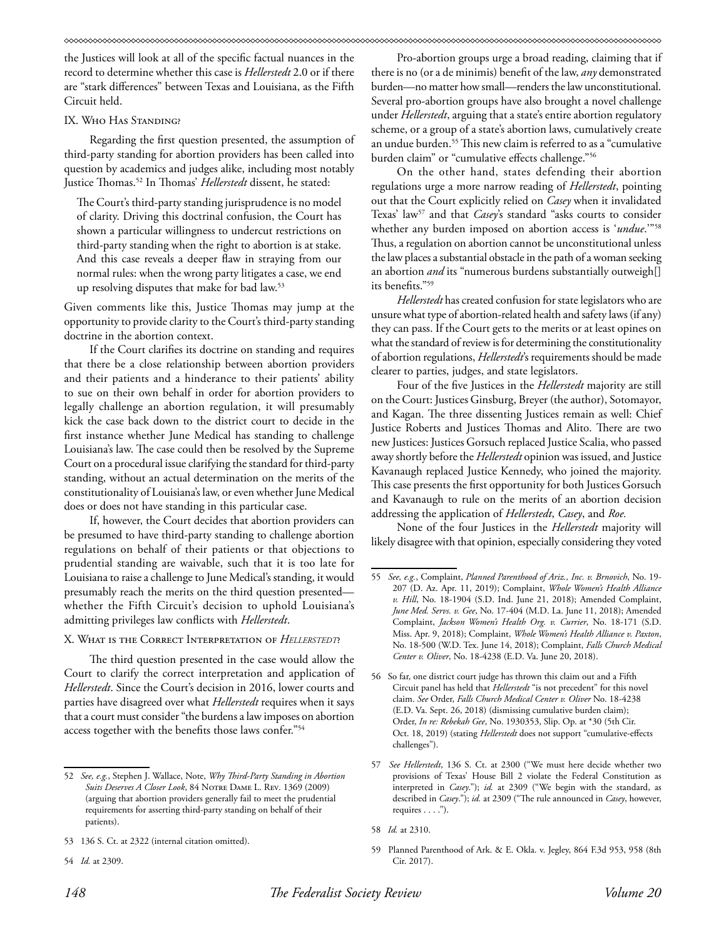the Justices will look at all of the specific factual nuances in the record to determine whether this case is *Hellerstedt* 2.0 or if there are "stark differences" between Texas and Louisiana, as the Fifth Circuit held.

### IX. Who Has Standing?

Regarding the first question presented, the assumption of third-party standing for abortion providers has been called into question by academics and judges alike, including most notably Justice Thomas.52 In Thomas' *Hellerstedt* dissent, he stated:

The Court's third-party standing jurisprudence is no model of clarity. Driving this doctrinal confusion, the Court has shown a particular willingness to undercut restrictions on third-party standing when the right to abortion is at stake. And this case reveals a deeper flaw in straying from our normal rules: when the wrong party litigates a case, we end up resolving disputes that make for bad law.53

Given comments like this, Justice Thomas may jump at the opportunity to provide clarity to the Court's third-party standing doctrine in the abortion context.

If the Court clarifies its doctrine on standing and requires that there be a close relationship between abortion providers and their patients and a hinderance to their patients' ability to sue on their own behalf in order for abortion providers to legally challenge an abortion regulation, it will presumably kick the case back down to the district court to decide in the first instance whether June Medical has standing to challenge Louisiana's law. The case could then be resolved by the Supreme Court on a procedural issue clarifying the standard for third-party standing, without an actual determination on the merits of the constitutionality of Louisiana's law, or even whether June Medical does or does not have standing in this particular case.

If, however, the Court decides that abortion providers can be presumed to have third-party standing to challenge abortion regulations on behalf of their patients or that objections to prudential standing are waivable, such that it is too late for Louisiana to raise a challenge to June Medical's standing, it would presumably reach the merits on the third question presented whether the Fifth Circuit's decision to uphold Louisiana's admitting privileges law conflicts with *Hellerstedt*.

## X. What is the Correct Interpretation of *Hellerstedt*?

The third question presented in the case would allow the Court to clarify the correct interpretation and application of *Hellerstedt*. Since the Court's decision in 2016, lower courts and parties have disagreed over what *Hellerstedt* requires when it says that a court must consider "the burdens a law imposes on abortion access together with the benefits those laws confer."54

Pro-abortion groups urge a broad reading, claiming that if there is no (or a de minimis) benefit of the law, *any* demonstrated burden—no matter how small—renders the law unconstitutional. Several pro-abortion groups have also brought a novel challenge under *Hellerstedt*, arguing that a state's entire abortion regulatory scheme, or a group of a state's abortion laws, cumulatively create an undue burden.55 This new claim is referred to as a "cumulative burden claim" or "cumulative effects challenge."56

On the other hand, states defending their abortion regulations urge a more narrow reading of *Hellerstedt*, pointing out that the Court explicitly relied on *Casey* when it invalidated Texas' law57 and that *Casey*'s standard "asks courts to consider whether any burden imposed on abortion access is '*undue*.'"58 Thus, a regulation on abortion cannot be unconstitutional unless the law places a substantial obstacle in the path of a woman seeking an abortion *and* its "numerous burdens substantially outweigh[] its benefits."59

*Hellerstedt* has created confusion for state legislators who are unsure what type of abortion-related health and safety laws (if any) they can pass. If the Court gets to the merits or at least opines on what the standard of review is for determining the constitutionality of abortion regulations, *Hellerstedt*'s requirements should be made clearer to parties, judges, and state legislators.

Four of the five Justices in the *Hellerstedt* majority are still on the Court: Justices Ginsburg, Breyer (the author), Sotomayor, and Kagan. The three dissenting Justices remain as well: Chief Justice Roberts and Justices Thomas and Alito. There are two new Justices: Justices Gorsuch replaced Justice Scalia, who passed away shortly before the *Hellerstedt* opinion was issued, and Justice Kavanaugh replaced Justice Kennedy, who joined the majority. This case presents the first opportunity for both Justices Gorsuch and Kavanaugh to rule on the merits of an abortion decision addressing the application of *Hellerstedt*, *Casey*, and *Roe.*

None of the four Justices in the *Hellerstedt* majority will likely disagree with that opinion, especially considering they voted

<sup>52</sup> *See, e.g.*, Stephen J. Wallace, Note, *Why Third-Party Standing in Abortion Suits Deserves A Closer Look*, 84 Notre Dame L. Rev. 1369 (2009) (arguing that abortion providers generally fail to meet the prudential requirements for asserting third-party standing on behalf of their patients).

<sup>53 136</sup> S. Ct. at 2322 (internal citation omitted).

<sup>54</sup> *Id.* at 2309.

<sup>55</sup> *See, e.g.*, Complaint, *Planned Parenthood of Ariz., Inc. v. Brnovich*, No. 19- 207 (D. Az. Apr. 11, 2019); Complaint, *Whole Women's Health Alliance v. Hill*, No. 18-1904 (S.D. Ind. June 21, 2018); Amended Complaint, *June Med. Servs. v. Gee*, No. 17-404 (M.D. La. June 11, 2018); Amended Complaint, *Jackson Women's Health Org. v. Currier*, No. 18-171 (S.D. Miss. Apr. 9, 2018); Complaint, *Whole Women's Health Alliance v. Paxton*, No. 18-500 (W.D. Tex. June 14, 2018); Complaint, *Falls Church Medical Center v. Oliver*, No. 18-4238 (E.D. Va. June 20, 2018).

<sup>56</sup> So far, one district court judge has thrown this claim out and a Fifth Circuit panel has held that *Hellerstedt* "is not precedent" for this novel claim. *See* Order, *Falls Church Medical Center v. Oliver* No. 18-4238 (E.D. Va. Sept. 26, 2018) (dismissing cumulative burden claim); Order, *In re: Rebekah Gee*, No. 1930353, Slip. Op. at \*30 (5th Cir. Oct. 18, 2019) (stating *Hellerstedt* does not support "cumulative-effects challenges").

<sup>57</sup> *See Hellerstedt*, 136 S. Ct. at 2300 ("We must here decide whether two provisions of Texas' House Bill 2 violate the Federal Constitution as interpreted in *Casey*."); *id.* at 2309 ("We begin with the standard, as described in *Casey*."); *id.* at 2309 ("The rule announced in *Casey*, however, requires . . . .").

<sup>58</sup> *Id.* at 2310.

<sup>59</sup> Planned Parenthood of Ark. & E. Okla. v. Jegley, 864 F.3d 953, 958 (8th Cir. 2017).